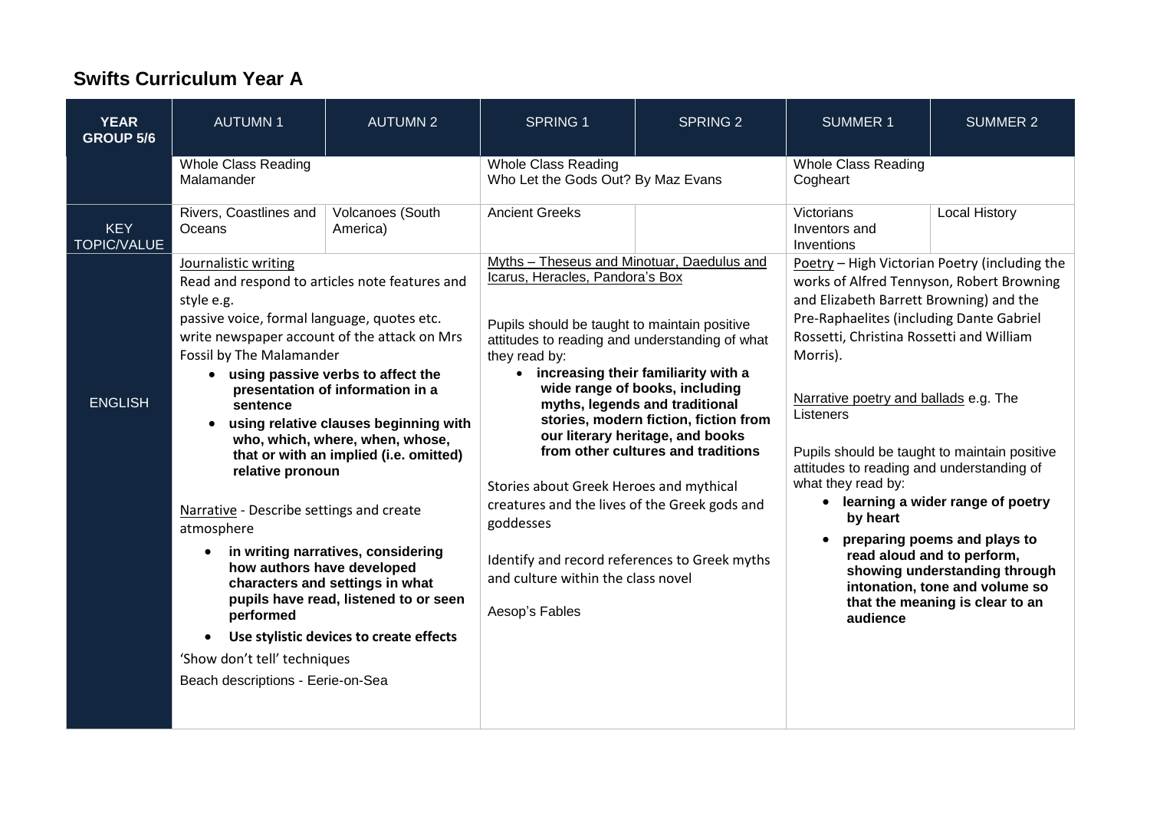## **Swifts Curriculum Year A**

| <b>YEAR</b><br><b>GROUP 5/6</b>  | <b>AUTUMN1</b>                                                                                                                                                                                                                                                                                                                                                                       | <b>AUTUMN 2</b>                                                                                                                                                                                                                                                                                                                                                                                              | <b>SPRING 1</b>                                                                                                                                                                                                                                                                                                                                                                                                                                             | <b>SPRING 2</b>                                                                                                                                                                     | <b>SUMMER 1</b>                                                                                                                                                                                                                                                                                                                                                                                                                                         | <b>SUMMER 2</b>                                                                                                                                                                                        |
|----------------------------------|--------------------------------------------------------------------------------------------------------------------------------------------------------------------------------------------------------------------------------------------------------------------------------------------------------------------------------------------------------------------------------------|--------------------------------------------------------------------------------------------------------------------------------------------------------------------------------------------------------------------------------------------------------------------------------------------------------------------------------------------------------------------------------------------------------------|-------------------------------------------------------------------------------------------------------------------------------------------------------------------------------------------------------------------------------------------------------------------------------------------------------------------------------------------------------------------------------------------------------------------------------------------------------------|-------------------------------------------------------------------------------------------------------------------------------------------------------------------------------------|---------------------------------------------------------------------------------------------------------------------------------------------------------------------------------------------------------------------------------------------------------------------------------------------------------------------------------------------------------------------------------------------------------------------------------------------------------|--------------------------------------------------------------------------------------------------------------------------------------------------------------------------------------------------------|
|                                  | <b>Whole Class Reading</b><br>Malamander                                                                                                                                                                                                                                                                                                                                             |                                                                                                                                                                                                                                                                                                                                                                                                              | <b>Whole Class Reading</b><br>Who Let the Gods Out? By Maz Evans                                                                                                                                                                                                                                                                                                                                                                                            |                                                                                                                                                                                     | <b>Whole Class Reading</b><br>Cogheart                                                                                                                                                                                                                                                                                                                                                                                                                  |                                                                                                                                                                                                        |
| <b>KEY</b><br><b>TOPIC/VALUE</b> | Rivers, Coastlines and<br>Oceans                                                                                                                                                                                                                                                                                                                                                     | Volcanoes (South<br>America)                                                                                                                                                                                                                                                                                                                                                                                 | <b>Ancient Greeks</b>                                                                                                                                                                                                                                                                                                                                                                                                                                       |                                                                                                                                                                                     | Victorians<br>Inventors and<br>Inventions                                                                                                                                                                                                                                                                                                                                                                                                               | <b>Local History</b>                                                                                                                                                                                   |
| <b>ENGLISH</b>                   | Journalistic writing<br>style e.g.<br>passive voice, formal language, quotes etc.<br>write newspaper account of the attack on Mrs<br>Fossil by The Malamander<br>sentence<br>$\bullet$<br>relative pronoun<br>Narrative - Describe settings and create<br>atmosphere<br>how authors have developed<br>performed<br>'Show don't tell' techniques<br>Beach descriptions - Eerie-on-Sea | Read and respond to articles note features and<br>• using passive verbs to affect the<br>presentation of information in a<br>using relative clauses beginning with<br>who, which, where, when, whose,<br>that or with an implied (i.e. omitted)<br>in writing narratives, considering<br>characters and settings in what<br>pupils have read, listened to or seen<br>Use stylistic devices to create effects | Myths - Theseus and Minotuar, Daedulus and<br>Icarus, Heracles, Pandora's Box<br>Pupils should be taught to maintain positive<br>attitudes to reading and understanding of what<br>they read by:<br>• increasing their familiarity with a<br>Stories about Greek Heroes and mythical<br>creatures and the lives of the Greek gods and<br>goddesses<br>Identify and record references to Greek myths<br>and culture within the class novel<br>Aesop's Fables | wide range of books, including<br>myths, legends and traditional<br>stories, modern fiction, fiction from<br>our literary heritage, and books<br>from other cultures and traditions | Poetry - High Victorian Poetry (including the<br>works of Alfred Tennyson, Robert Browning<br>and Elizabeth Barrett Browning) and the<br>Pre-Raphaelites (including Dante Gabriel<br>Rossetti, Christina Rossetti and William<br>Morris).<br>Narrative poetry and ballads e.g. The<br>Listeners<br>Pupils should be taught to maintain positive<br>attitudes to reading and understanding of<br>what they read by:<br>by heart<br>$\bullet$<br>audience | • learning a wider range of poetry<br>preparing poems and plays to<br>read aloud and to perform,<br>showing understanding through<br>intonation, tone and volume so<br>that the meaning is clear to an |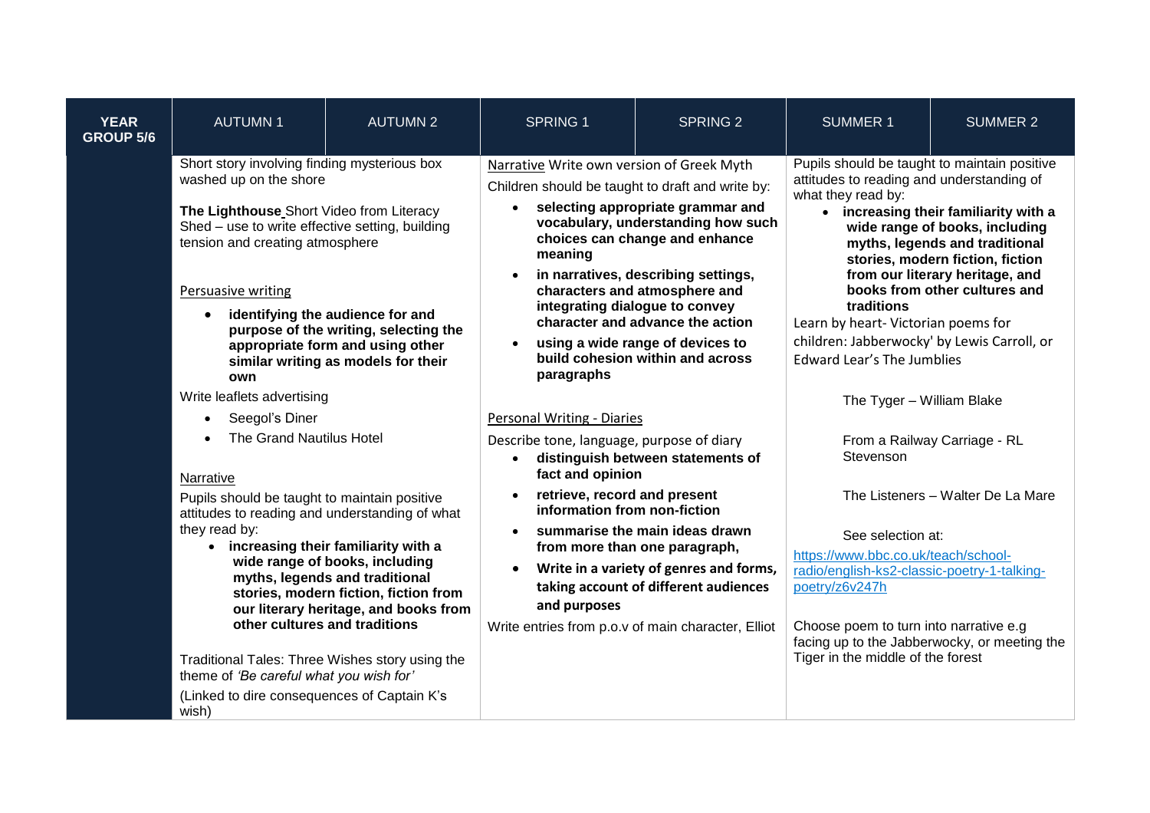| <b>YEAR</b><br><b>GROUP 5/6</b> | <b>AUTUMN1</b>                                                                                                                                                                                                                                                                                                                                                                                                                                  | <b>AUTUMN 2</b>                                                                                                                                                                                                              | <b>SPRING 1</b>                                                                                          | <b>SPRING 2</b>                                                                                                                                                                                                    | <b>SUMMER 1</b>                                                                                                                                                                                                                                                                                                                                                                                                                                                                                                                                         | <b>SUMMER 2</b> |
|---------------------------------|-------------------------------------------------------------------------------------------------------------------------------------------------------------------------------------------------------------------------------------------------------------------------------------------------------------------------------------------------------------------------------------------------------------------------------------------------|------------------------------------------------------------------------------------------------------------------------------------------------------------------------------------------------------------------------------|----------------------------------------------------------------------------------------------------------|--------------------------------------------------------------------------------------------------------------------------------------------------------------------------------------------------------------------|---------------------------------------------------------------------------------------------------------------------------------------------------------------------------------------------------------------------------------------------------------------------------------------------------------------------------------------------------------------------------------------------------------------------------------------------------------------------------------------------------------------------------------------------------------|-----------------|
|                                 | Short story involving finding mysterious box<br>washed up on the shore<br>The Lighthouse Short Video from Literacy<br>Shed - use to write effective setting, building<br>tension and creating atmosphere<br><b>Persuasive writing</b><br>identifying the audience for and<br>$\bullet$<br>purpose of the writing, selecting the<br>appropriate form and using other<br>similar writing as models for their<br>own<br>Write leaflets advertising |                                                                                                                                                                                                                              | Narrative Write own version of Greek Myth<br>Children should be taught to draft and write by:<br>meaning | selecting appropriate grammar and<br>vocabulary, understanding how such<br>choices can change and enhance                                                                                                          | Pupils should be taught to maintain positive<br>attitudes to reading and understanding of<br>what they read by:<br>• increasing their familiarity with a<br>wide range of books, including<br>myths, legends and traditional<br>stories, modern fiction, fiction<br>from our literary heritage, and<br>books from other cultures and<br>traditions<br>Learn by heart- Victorian poems for<br>children: Jabberwocky' by Lewis Carroll, or<br><b>Edward Lear's The Jumblies</b><br>The Tyger - William Blake<br>From a Railway Carriage - RL<br>Stevenson |                 |
|                                 |                                                                                                                                                                                                                                                                                                                                                                                                                                                 |                                                                                                                                                                                                                              | paragraphs                                                                                               | in narratives, describing settings,<br>characters and atmosphere and<br>integrating dialogue to convey<br>character and advance the action<br>using a wide range of devices to<br>build cohesion within and across |                                                                                                                                                                                                                                                                                                                                                                                                                                                                                                                                                         |                 |
|                                 | Seegol's Diner                                                                                                                                                                                                                                                                                                                                                                                                                                  |                                                                                                                                                                                                                              | <b>Personal Writing - Diaries</b>                                                                        |                                                                                                                                                                                                                    |                                                                                                                                                                                                                                                                                                                                                                                                                                                                                                                                                         |                 |
|                                 | The Grand Nautilus Hotel<br>Narrative<br>Pupils should be taught to maintain positive<br>attitudes to reading and understanding of what                                                                                                                                                                                                                                                                                                         |                                                                                                                                                                                                                              | Describe tone, language, purpose of diary<br>fact and opinion                                            | distinguish between statements of                                                                                                                                                                                  |                                                                                                                                                                                                                                                                                                                                                                                                                                                                                                                                                         |                 |
|                                 |                                                                                                                                                                                                                                                                                                                                                                                                                                                 |                                                                                                                                                                                                                              | retrieve, record and present<br>information from non-fiction<br>summarise the main ideas drawn           |                                                                                                                                                                                                                    | The Listeners - Walter De La Mare                                                                                                                                                                                                                                                                                                                                                                                                                                                                                                                       |                 |
|                                 | they read by:                                                                                                                                                                                                                                                                                                                                                                                                                                   | • increasing their familiarity with a<br>wide range of books, including<br>myths, legends and traditional<br>stories, modern fiction, fiction from<br>our literary heritage, and books from<br>other cultures and traditions | and purposes<br>Write entries from p.o.v of main character, Elliot                                       | from more than one paragraph,<br>Write in a variety of genres and forms,<br>taking account of different audiences                                                                                                  | See selection at:<br>https://www.bbc.co.uk/teach/school-<br>radio/english-ks2-classic-poetry-1-talking-<br>poetry/z6v247h<br>Choose poem to turn into narrative e.g<br>facing up to the Jabberwocky, or meeting the<br>Tiger in the middle of the forest                                                                                                                                                                                                                                                                                                |                 |
|                                 | Traditional Tales: Three Wishes story using the<br>theme of 'Be careful what you wish for'<br>(Linked to dire consequences of Captain K's<br>wish)                                                                                                                                                                                                                                                                                              |                                                                                                                                                                                                                              |                                                                                                          |                                                                                                                                                                                                                    |                                                                                                                                                                                                                                                                                                                                                                                                                                                                                                                                                         |                 |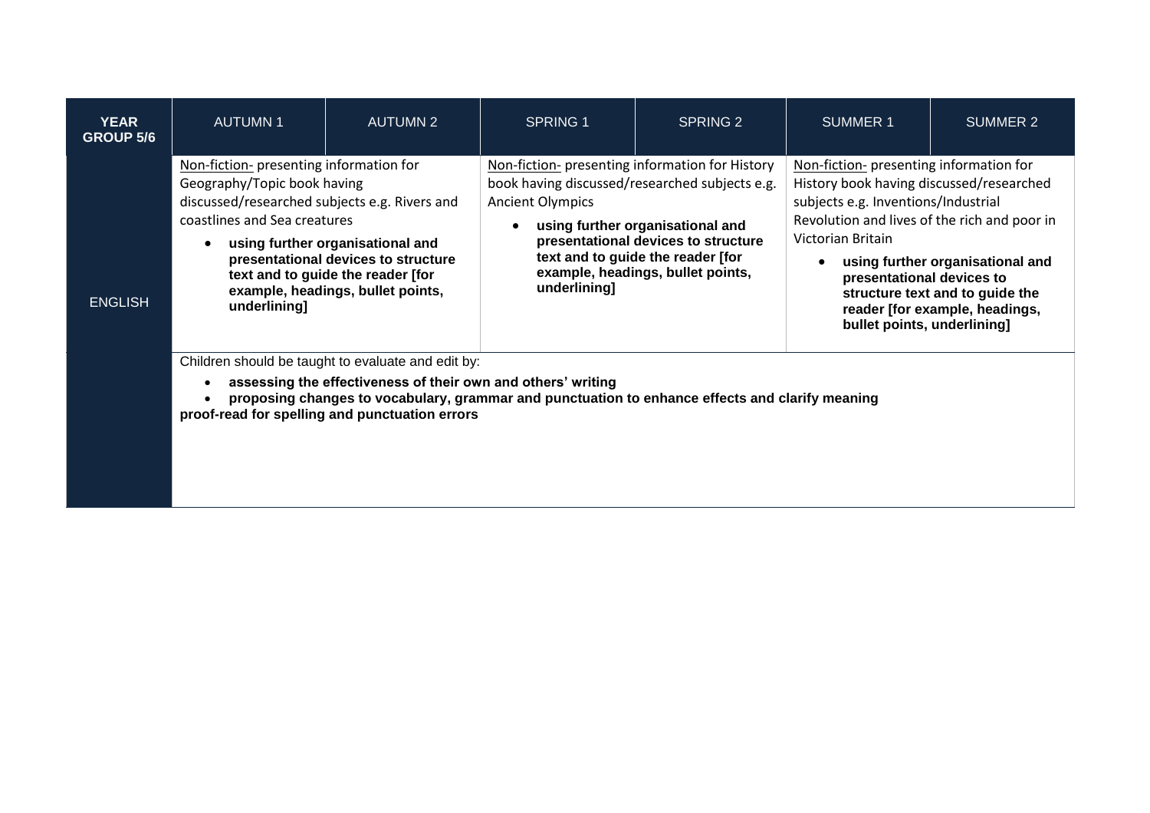| <b>YEAR</b><br><b>GROUP 5/6</b> | <b>AUTUMN1</b>                                                                                                                                                                                                                                                                                                               | <b>AUTUMN 2</b> | <b>SPRING 1</b>                                                                                                                                                                                                                                                                                   | SPRING 2 | SUMMER 1                                                                                                                                                                                                                                                                                                                                                             | SUMMER 2 |  |
|---------------------------------|------------------------------------------------------------------------------------------------------------------------------------------------------------------------------------------------------------------------------------------------------------------------------------------------------------------------------|-----------------|---------------------------------------------------------------------------------------------------------------------------------------------------------------------------------------------------------------------------------------------------------------------------------------------------|----------|----------------------------------------------------------------------------------------------------------------------------------------------------------------------------------------------------------------------------------------------------------------------------------------------------------------------------------------------------------------------|----------|--|
| <b>ENGLISH</b>                  | Non-fiction- presenting information for<br>Geography/Topic book having<br>discussed/researched subjects e.g. Rivers and<br>coastlines and Sea creatures<br>using further organisational and<br>presentational devices to structure<br>text and to guide the reader [for<br>example, headings, bullet points,<br>underlining] |                 | Non-fiction- presenting information for History<br>book having discussed/researched subjects e.g.<br><b>Ancient Olympics</b><br>using further organisational and<br>presentational devices to structure<br>text and to guide the reader [for<br>example, headings, bullet points,<br>underlining] |          | Non-fiction- presenting information for<br>History book having discussed/researched<br>subjects e.g. Inventions/Industrial<br>Revolution and lives of the rich and poor in<br>Victorian Britain<br>using further organisational and<br>presentational devices to<br>structure text and to guide the<br>reader [for example, headings,<br>bullet points, underlining] |          |  |
|                                 | Children should be taught to evaluate and edit by:<br>assessing the effectiveness of their own and others' writing<br>proposing changes to vocabulary, grammar and punctuation to enhance effects and clarify meaning<br>proof-read for spelling and punctuation errors                                                      |                 |                                                                                                                                                                                                                                                                                                   |          |                                                                                                                                                                                                                                                                                                                                                                      |          |  |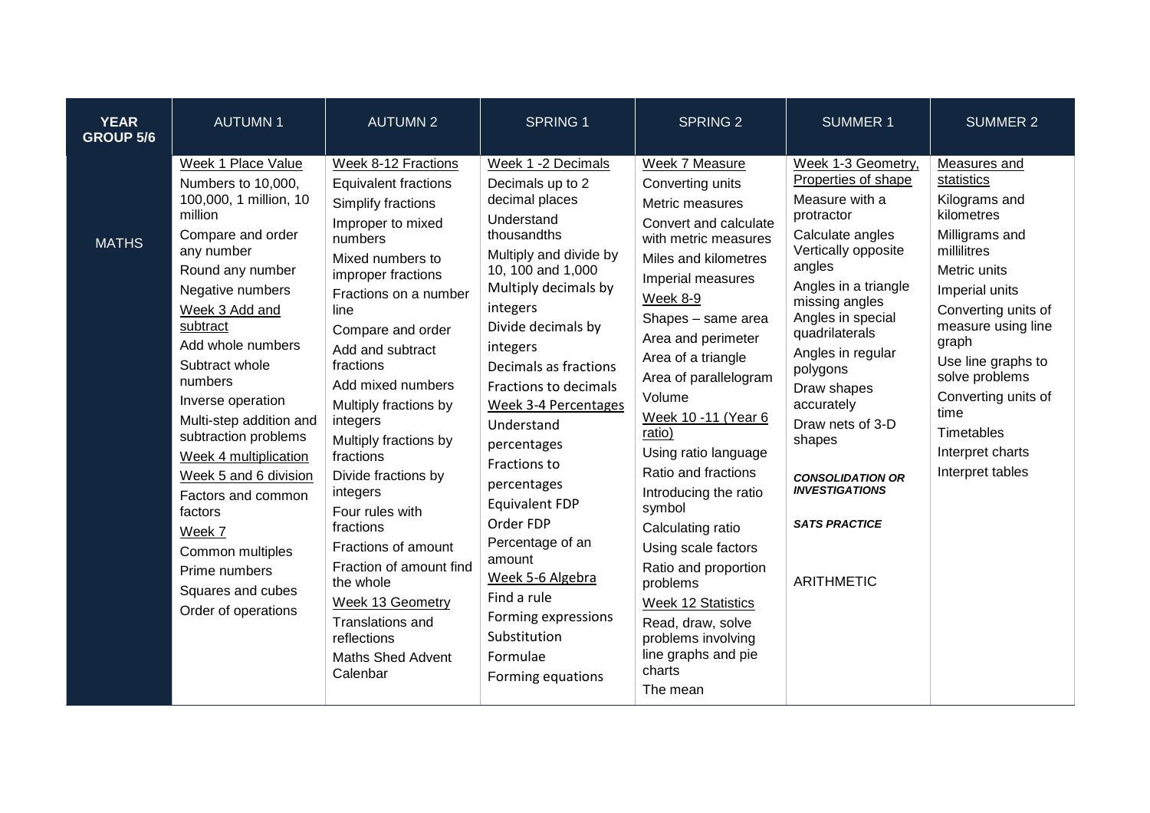| <b>YEAR</b><br><b>GROUP 5/6</b> | <b>AUTUMN1</b>                                                                                                                                                                                                                                                                                                                                                                                                                                                                                 | <b>AUTUMN 2</b>                                                                                                                                                                                                                                                                                                                                                                                                                                                                                                                                                                   | <b>SPRING 1</b>                                                                                                                                                                                                                                                                                                                                                                                                                                                                                                                 | <b>SPRING 2</b>                                                                                                                                                                                                                                                                                                                                                                                                                                                                                                                                                                       | <b>SUMMER 1</b>                                                                                                                                                                                                                                                                                                                                                                                              | <b>SUMMER 2</b>                                                                                                                                                                                                                                                                                                        |
|---------------------------------|------------------------------------------------------------------------------------------------------------------------------------------------------------------------------------------------------------------------------------------------------------------------------------------------------------------------------------------------------------------------------------------------------------------------------------------------------------------------------------------------|-----------------------------------------------------------------------------------------------------------------------------------------------------------------------------------------------------------------------------------------------------------------------------------------------------------------------------------------------------------------------------------------------------------------------------------------------------------------------------------------------------------------------------------------------------------------------------------|---------------------------------------------------------------------------------------------------------------------------------------------------------------------------------------------------------------------------------------------------------------------------------------------------------------------------------------------------------------------------------------------------------------------------------------------------------------------------------------------------------------------------------|---------------------------------------------------------------------------------------------------------------------------------------------------------------------------------------------------------------------------------------------------------------------------------------------------------------------------------------------------------------------------------------------------------------------------------------------------------------------------------------------------------------------------------------------------------------------------------------|--------------------------------------------------------------------------------------------------------------------------------------------------------------------------------------------------------------------------------------------------------------------------------------------------------------------------------------------------------------------------------------------------------------|------------------------------------------------------------------------------------------------------------------------------------------------------------------------------------------------------------------------------------------------------------------------------------------------------------------------|
| <b>MATHS</b>                    | Week 1 Place Value<br>Numbers to 10,000,<br>100,000, 1 million, 10<br>million<br>Compare and order<br>any number<br>Round any number<br>Negative numbers<br>Week 3 Add and<br>subtract<br>Add whole numbers<br>Subtract whole<br>numbers<br>Inverse operation<br>Multi-step addition and<br>subtraction problems<br>Week 4 multiplication<br>Week 5 and 6 division<br>Factors and common<br>factors<br>Week 7<br>Common multiples<br>Prime numbers<br>Squares and cubes<br>Order of operations | Week 8-12 Fractions<br><b>Equivalent fractions</b><br>Simplify fractions<br>Improper to mixed<br>numbers<br>Mixed numbers to<br>improper fractions<br>Fractions on a number<br>line<br>Compare and order<br>Add and subtract<br>fractions<br>Add mixed numbers<br>Multiply fractions by<br>integers<br>Multiply fractions by<br>fractions<br>Divide fractions by<br>integers<br>Four rules with<br>fractions<br>Fractions of amount<br>Fraction of amount find<br>the whole<br><b>Week 13 Geometry</b><br>Translations and<br>reflections<br><b>Maths Shed Advent</b><br>Calenbar | Week 1 -2 Decimals<br>Decimals up to 2<br>decimal places<br>Understand<br>thousandths<br>Multiply and divide by<br>10, 100 and 1,000<br>Multiply decimals by<br>integers<br>Divide decimals by<br>integers<br>Decimals as fractions<br>Fractions to decimals<br>Week 3-4 Percentages<br>Understand<br>percentages<br>Fractions to<br>percentages<br><b>Equivalent FDP</b><br>Order FDP<br>Percentage of an<br>amount<br>Week 5-6 Algebra<br>Find a rule<br>Forming expressions<br>Substitution<br>Formulae<br>Forming equations | Week 7 Measure<br>Converting units<br>Metric measures<br>Convert and calculate<br>with metric measures<br>Miles and kilometres<br>Imperial measures<br>Week 8-9<br>Shapes - same area<br>Area and perimeter<br>Area of a triangle<br>Area of parallelogram<br>Volume<br>Week 10 -11 (Year 6<br>ratio)<br>Using ratio language<br>Ratio and fractions<br>Introducing the ratio<br>symbol<br>Calculating ratio<br>Using scale factors<br>Ratio and proportion<br>problems<br>Week 12 Statistics<br>Read, draw, solve<br>problems involving<br>line graphs and pie<br>charts<br>The mean | Week 1-3 Geometry,<br>Properties of shape<br>Measure with a<br>protractor<br>Calculate angles<br>Vertically opposite<br>angles<br>Angles in a triangle<br>missing angles<br>Angles in special<br>quadrilaterals<br>Angles in regular<br>polygons<br>Draw shapes<br>accurately<br>Draw nets of 3-D<br>shapes<br><b>CONSOLIDATION OR</b><br><b>INVESTIGATIONS</b><br><b>SATS PRACTICE</b><br><b>ARITHMETIC</b> | Measures and<br>statistics<br>Kilograms and<br>kilometres<br>Milligrams and<br>millilitres<br>Metric units<br>Imperial units<br>Converting units of<br>measure using line<br>graph<br>Use line graphs to<br>solve problems<br>Converting units of<br>time<br><b>Timetables</b><br>Interpret charts<br>Interpret tables |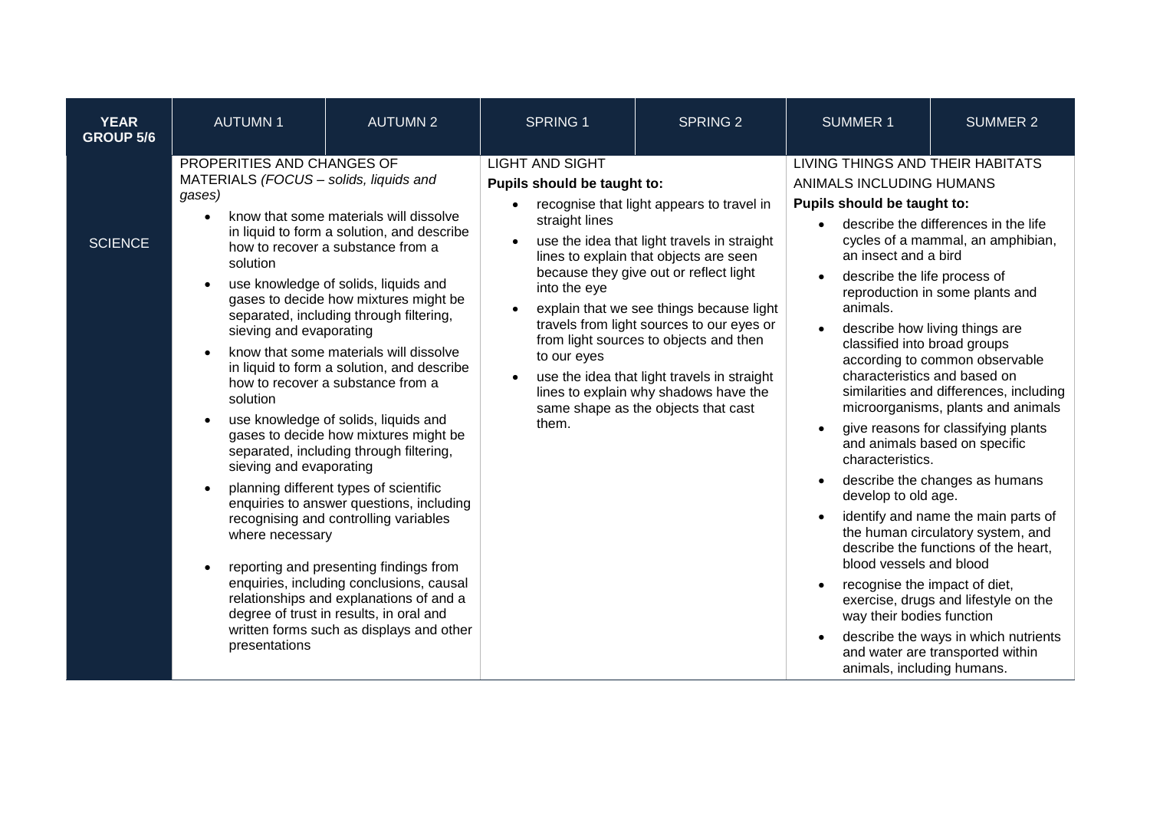| <b>YEAR</b><br><b>GROUP 5/6</b> | <b>AUTUMN1</b>                                                                                                                                                                                                | <b>AUTUMN 2</b>                                                                                                                                                                                                                                                                                                                                                                                                                                                                                                                                                                                                                                                                                                                                                                                                                                                       | <b>SPRING 1</b>                                                                                                 | <b>SPRING 2</b>                                                                                                                                                                                                                                                                                                                                                                                                                                | <b>SUMMER 1</b>                                                                                                                                                                                                                                                                                                                                                                                   | <b>SUMMER 2</b>                                                                                                                                                                                                                                                                                                                                                                                                                                                                                                                                                                                                     |
|---------------------------------|---------------------------------------------------------------------------------------------------------------------------------------------------------------------------------------------------------------|-----------------------------------------------------------------------------------------------------------------------------------------------------------------------------------------------------------------------------------------------------------------------------------------------------------------------------------------------------------------------------------------------------------------------------------------------------------------------------------------------------------------------------------------------------------------------------------------------------------------------------------------------------------------------------------------------------------------------------------------------------------------------------------------------------------------------------------------------------------------------|-----------------------------------------------------------------------------------------------------------------|------------------------------------------------------------------------------------------------------------------------------------------------------------------------------------------------------------------------------------------------------------------------------------------------------------------------------------------------------------------------------------------------------------------------------------------------|---------------------------------------------------------------------------------------------------------------------------------------------------------------------------------------------------------------------------------------------------------------------------------------------------------------------------------------------------------------------------------------------------|---------------------------------------------------------------------------------------------------------------------------------------------------------------------------------------------------------------------------------------------------------------------------------------------------------------------------------------------------------------------------------------------------------------------------------------------------------------------------------------------------------------------------------------------------------------------------------------------------------------------|
| <b>SCIENCE</b>                  | PROPERITIES AND CHANGES OF<br>MATERIALS (FOCUS - solids, liquids and<br>gases)<br>solution<br>sieving and evaporating<br>solution<br>sieving and evaporating<br>$\bullet$<br>where necessary<br>presentations | know that some materials will dissolve<br>in liquid to form a solution, and describe<br>how to recover a substance from a<br>use knowledge of solids, liquids and<br>gases to decide how mixtures might be<br>separated, including through filtering,<br>know that some materials will dissolve<br>in liquid to form a solution, and describe<br>how to recover a substance from a<br>use knowledge of solids, liquids and<br>gases to decide how mixtures might be<br>separated, including through filtering,<br>planning different types of scientific<br>enquiries to answer questions, including<br>recognising and controlling variables<br>reporting and presenting findings from<br>enquiries, including conclusions, causal<br>relationships and explanations of and a<br>degree of trust in results, in oral and<br>written forms such as displays and other | <b>LIGHT AND SIGHT</b><br>Pupils should be taught to:<br>straight lines<br>into the eye<br>to our eyes<br>them. | recognise that light appears to travel in<br>use the idea that light travels in straight<br>lines to explain that objects are seen<br>because they give out or reflect light<br>explain that we see things because light<br>travels from light sources to our eyes or<br>from light sources to objects and then<br>use the idea that light travels in straight<br>lines to explain why shadows have the<br>same shape as the objects that cast | LIVING THINGS AND THEIR HABITATS<br>ANIMALS INCLUDING HUMANS<br>Pupils should be taught to:<br>an insect and a bird<br>describe the life process of<br>animals.<br>classified into broad groups<br>characteristics and based on<br>characteristics.<br>develop to old age.<br>blood vessels and blood<br>recognise the impact of diet,<br>way their bodies function<br>animals, including humans. | describe the differences in the life<br>cycles of a mammal, an amphibian,<br>reproduction in some plants and<br>describe how living things are<br>according to common observable<br>similarities and differences, including<br>microorganisms, plants and animals<br>give reasons for classifying plants<br>and animals based on specific<br>describe the changes as humans<br>identify and name the main parts of<br>the human circulatory system, and<br>describe the functions of the heart,<br>exercise, drugs and lifestyle on the<br>describe the ways in which nutrients<br>and water are transported within |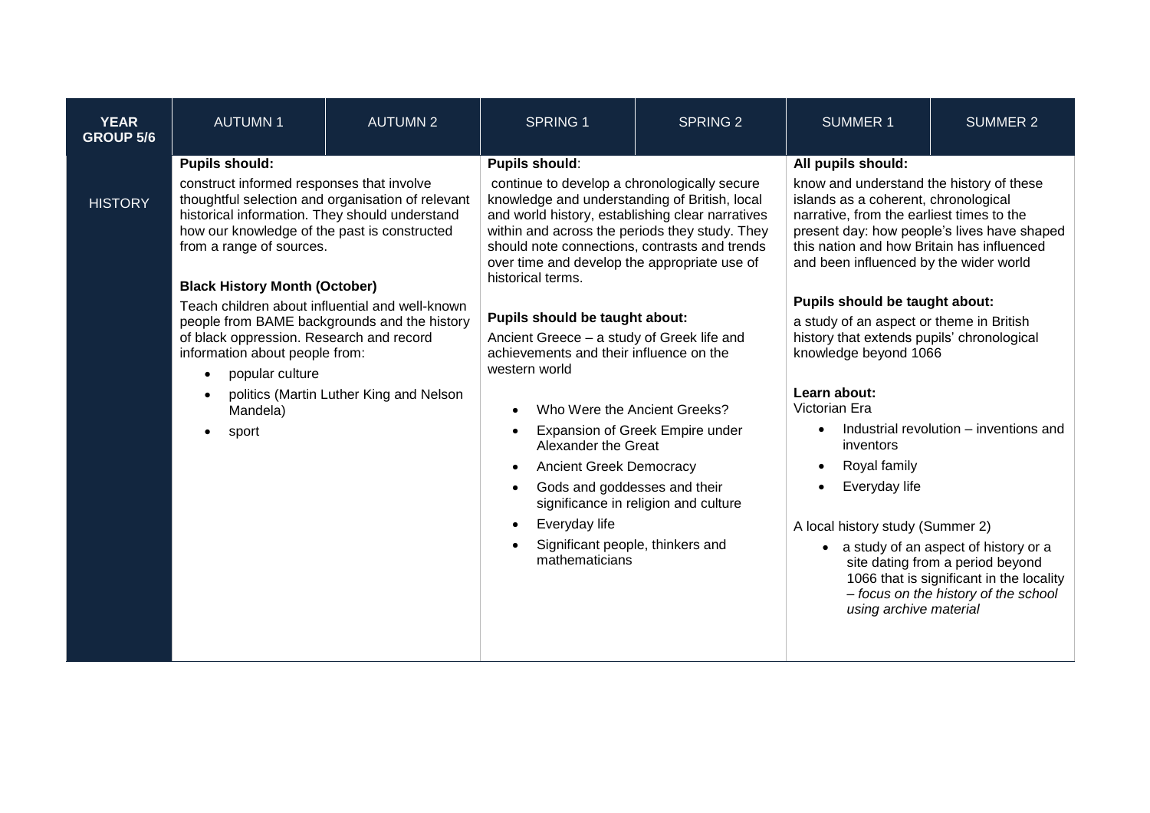| <b>YEAR</b><br><b>GROUP 5/6</b> | <b>AUTUMN1</b>                                                                                                                                                                                                                                                                                                                                                                                                                                                                                                                                                    | <b>AUTUMN 2</b> | <b>SPRING 1</b>                                                                                                                                                                                                                                                                                                                                                                                                                                                                                                                                                                                                                                                                                | <b>SPRING 2</b>                                                         | <b>SUMMER 1</b>                                                                                                                                                                                                                                                                                                                                                                                                                                                                                                                                                                      | <b>SUMMER 2</b>                                                                                                                                                                                                                                         |
|---------------------------------|-------------------------------------------------------------------------------------------------------------------------------------------------------------------------------------------------------------------------------------------------------------------------------------------------------------------------------------------------------------------------------------------------------------------------------------------------------------------------------------------------------------------------------------------------------------------|-----------------|------------------------------------------------------------------------------------------------------------------------------------------------------------------------------------------------------------------------------------------------------------------------------------------------------------------------------------------------------------------------------------------------------------------------------------------------------------------------------------------------------------------------------------------------------------------------------------------------------------------------------------------------------------------------------------------------|-------------------------------------------------------------------------|--------------------------------------------------------------------------------------------------------------------------------------------------------------------------------------------------------------------------------------------------------------------------------------------------------------------------------------------------------------------------------------------------------------------------------------------------------------------------------------------------------------------------------------------------------------------------------------|---------------------------------------------------------------------------------------------------------------------------------------------------------------------------------------------------------------------------------------------------------|
| <b>HISTORY</b>                  | <b>Pupils should:</b><br>construct informed responses that involve<br>thoughtful selection and organisation of relevant<br>historical information. They should understand<br>how our knowledge of the past is constructed<br>from a range of sources.<br><b>Black History Month (October)</b><br>Teach children about influential and well-known<br>people from BAME backgrounds and the history<br>of black oppression. Research and record<br>information about people from:<br>popular culture<br>politics (Martin Luther King and Nelson<br>Mandela)<br>sport |                 | <b>Pupils should:</b><br>continue to develop a chronologically secure<br>knowledge and understanding of British, local<br>and world history, establishing clear narratives<br>within and across the periods they study. They<br>should note connections, contrasts and trends<br>over time and develop the appropriate use of<br>historical terms.<br>Pupils should be taught about:<br>Ancient Greece - a study of Greek life and<br>achievements and their influence on the<br>western world<br>Who Were the Ancient Greeks?<br>Alexander the Great<br><b>Ancient Greek Democracy</b><br>Gods and goddesses and their<br>Everyday life<br>Significant people, thinkers and<br>mathematicians | Expansion of Greek Empire under<br>significance in religion and culture | All pupils should:<br>know and understand the history of these<br>islands as a coherent, chronological<br>narrative, from the earliest times to the<br>this nation and how Britain has influenced<br>and been influenced by the wider world<br>Pupils should be taught about:<br>a study of an aspect or theme in British<br>history that extends pupils' chronological<br>knowledge beyond 1066<br>Learn about:<br>Victorian Era<br>$\bullet$<br>inventors<br>Royal family<br>$\bullet$<br>Everyday life<br>$\bullet$<br>A local history study (Summer 2)<br>using archive material | present day: how people's lives have shaped<br>Industrial revolution – inventions and<br>• a study of an aspect of history or a<br>site dating from a period beyond<br>1066 that is significant in the locality<br>- focus on the history of the school |
|                                 |                                                                                                                                                                                                                                                                                                                                                                                                                                                                                                                                                                   |                 |                                                                                                                                                                                                                                                                                                                                                                                                                                                                                                                                                                                                                                                                                                |                                                                         |                                                                                                                                                                                                                                                                                                                                                                                                                                                                                                                                                                                      |                                                                                                                                                                                                                                                         |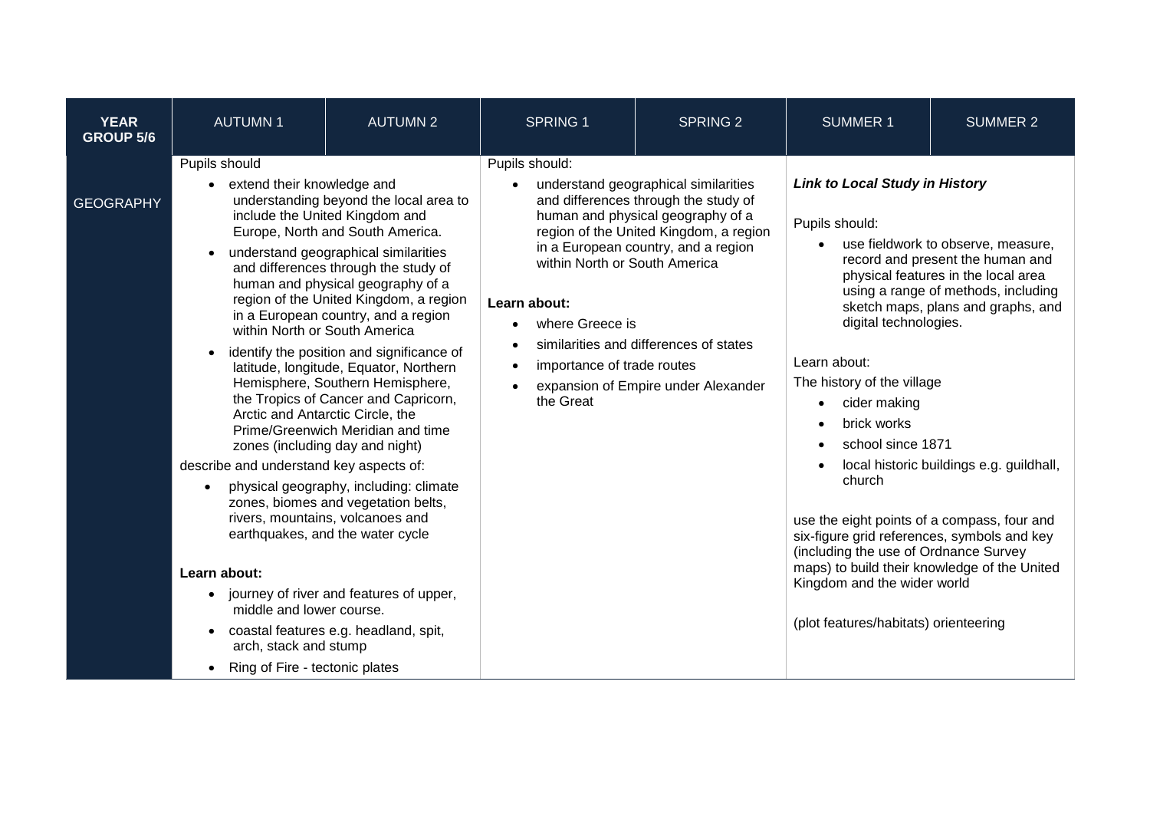| <b>YEAR</b><br><b>GROUP 5/6</b> | <b>AUTUMN1</b>                                                                                                                                                                                                                                                        | <b>AUTUMN 2</b>                                                                                                                                                                                                                                                                                                                                                                                                                                                                                                                                                                                                                                                                                                                                                                                                                                  | <b>SPRING 1</b>                                                                                                                            | <b>SPRING 2</b>                                                                                                                                                                                                                                                                     | <b>SUMMER 1</b>                                                                                                                                                                                                                                                                                                                                                                                                                                             | <b>SUMMER 2</b>                                                                                                                                                                                                                        |
|---------------------------------|-----------------------------------------------------------------------------------------------------------------------------------------------------------------------------------------------------------------------------------------------------------------------|--------------------------------------------------------------------------------------------------------------------------------------------------------------------------------------------------------------------------------------------------------------------------------------------------------------------------------------------------------------------------------------------------------------------------------------------------------------------------------------------------------------------------------------------------------------------------------------------------------------------------------------------------------------------------------------------------------------------------------------------------------------------------------------------------------------------------------------------------|--------------------------------------------------------------------------------------------------------------------------------------------|-------------------------------------------------------------------------------------------------------------------------------------------------------------------------------------------------------------------------------------------------------------------------------------|-------------------------------------------------------------------------------------------------------------------------------------------------------------------------------------------------------------------------------------------------------------------------------------------------------------------------------------------------------------------------------------------------------------------------------------------------------------|----------------------------------------------------------------------------------------------------------------------------------------------------------------------------------------------------------------------------------------|
| <b>GEOGRAPHY</b>                | Pupils should<br>extend their knowledge and<br>within North or South America<br>describe and understand key aspects of:<br>$\bullet$<br>Learn about:<br>middle and lower course.<br>$\bullet$<br>arch, stack and stump<br>Ring of Fire - tectonic plates<br>$\bullet$ | understanding beyond the local area to<br>include the United Kingdom and<br>Europe, North and South America.<br>understand geographical similarities<br>and differences through the study of<br>human and physical geography of a<br>region of the United Kingdom, a region<br>in a European country, and a region<br>identify the position and significance of<br>latitude, longitude, Equator, Northern<br>Hemisphere, Southern Hemisphere,<br>the Tropics of Cancer and Capricorn,<br>Arctic and Antarctic Circle, the<br>Prime/Greenwich Meridian and time<br>zones (including day and night)<br>physical geography, including: climate<br>zones, biomes and vegetation belts,<br>rivers, mountains, volcanoes and<br>earthquakes, and the water cycle<br>• journey of river and features of upper,<br>coastal features e.g. headland, spit, | Pupils should:<br>within North or South America<br>Learn about:<br>where Greece is<br>$\bullet$<br>importance of trade routes<br>the Great | understand geographical similarities<br>and differences through the study of<br>human and physical geography of a<br>region of the United Kingdom, a region<br>in a European country, and a region<br>similarities and differences of states<br>expansion of Empire under Alexander | <b>Link to Local Study in History</b><br>Pupils should:<br>digital technologies.<br>Learn about:<br>The history of the village<br>cider making<br>brick works<br>school since 1871<br>church<br>use the eight points of a compass, four and<br>six-figure grid references, symbols and key<br>(including the use of Ordnance Survey<br>maps) to build their knowledge of the United<br>Kingdom and the wider world<br>(plot features/habitats) orienteering | use fieldwork to observe, measure,<br>record and present the human and<br>physical features in the local area<br>using a range of methods, including<br>sketch maps, plans and graphs, and<br>local historic buildings e.g. guildhall, |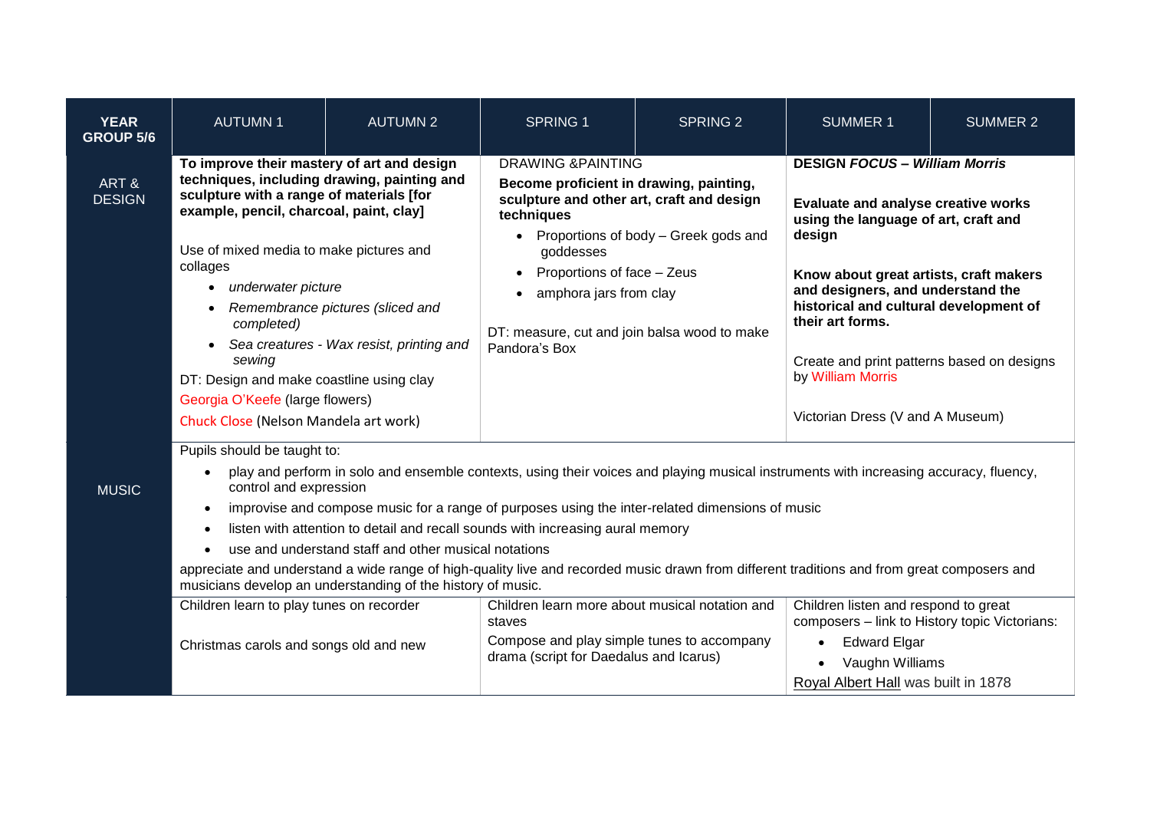| <b>YEAR</b><br><b>GROUP 5/6</b> | <b>AUTUMN1</b>                                                                                                                                                                                                                                                                                                                                                                                                                                                                                                                                                                                                                                                                                   | <b>AUTUMN 2</b> | <b>SPRING 1</b>                                                                                                                                                                                                                                                                                                  | <b>SPRING 2</b> | <b>SUMMER 1</b>                                                                                                                                                                                                                                                                                                                               | <b>SUMMER 2</b> |
|---------------------------------|--------------------------------------------------------------------------------------------------------------------------------------------------------------------------------------------------------------------------------------------------------------------------------------------------------------------------------------------------------------------------------------------------------------------------------------------------------------------------------------------------------------------------------------------------------------------------------------------------------------------------------------------------------------------------------------------------|-----------------|------------------------------------------------------------------------------------------------------------------------------------------------------------------------------------------------------------------------------------------------------------------------------------------------------------------|-----------------|-----------------------------------------------------------------------------------------------------------------------------------------------------------------------------------------------------------------------------------------------------------------------------------------------------------------------------------------------|-----------------|
| ART&<br><b>DESIGN</b>           | To improve their mastery of art and design<br>techniques, including drawing, painting and<br>sculpture with a range of materials [for<br>example, pencil, charcoal, paint, clay]<br>Use of mixed media to make pictures and<br>collages<br>underwater picture<br>Remembrance pictures (sliced and<br>completed)<br>Sea creatures - Wax resist, printing and<br>sewing<br>DT: Design and make coastline using clay<br>Georgia O'Keefe (large flowers)<br>Chuck Close (Nelson Mandela art work)                                                                                                                                                                                                    |                 | <b>DRAWING &amp;PAINTING</b><br>Become proficient in drawing, painting,<br>sculpture and other art, craft and design<br>techniques<br>Proportions of body - Greek gods and<br>goddesses<br>Proportions of face - Zeus<br>amphora jars from clay<br>DT: measure, cut and join balsa wood to make<br>Pandora's Box |                 | <b>DESIGN FOCUS - William Morris</b><br>Evaluate and analyse creative works<br>using the language of art, craft and<br>design<br>Know about great artists, craft makers<br>and designers, and understand the<br>historical and cultural development of<br>their art forms.<br>Create and print patterns based on designs<br>by William Morris |                 |
|                                 |                                                                                                                                                                                                                                                                                                                                                                                                                                                                                                                                                                                                                                                                                                  |                 |                                                                                                                                                                                                                                                                                                                  |                 | Victorian Dress (V and A Museum)                                                                                                                                                                                                                                                                                                              |                 |
| <b>MUSIC</b>                    | Pupils should be taught to:<br>play and perform in solo and ensemble contexts, using their voices and playing musical instruments with increasing accuracy, fluency,<br>$\bullet$<br>control and expression<br>improvise and compose music for a range of purposes using the inter-related dimensions of music<br>$\bullet$<br>listen with attention to detail and recall sounds with increasing aural memory<br>$\bullet$<br>use and understand staff and other musical notations<br>appreciate and understand a wide range of high-quality live and recorded music drawn from different traditions and from great composers and<br>musicians develop an understanding of the history of music. |                 |                                                                                                                                                                                                                                                                                                                  |                 |                                                                                                                                                                                                                                                                                                                                               |                 |
|                                 | Children learn to play tunes on recorder<br>Christmas carols and songs old and new                                                                                                                                                                                                                                                                                                                                                                                                                                                                                                                                                                                                               |                 | Children learn more about musical notation and<br>staves<br>Compose and play simple tunes to accompany<br>drama (script for Daedalus and Icarus)                                                                                                                                                                 |                 | Children listen and respond to great<br>composers - link to History topic Victorians:<br><b>Edward Elgar</b><br>$\bullet$<br>Vaughn Williams<br>Royal Albert Hall was built in 1878                                                                                                                                                           |                 |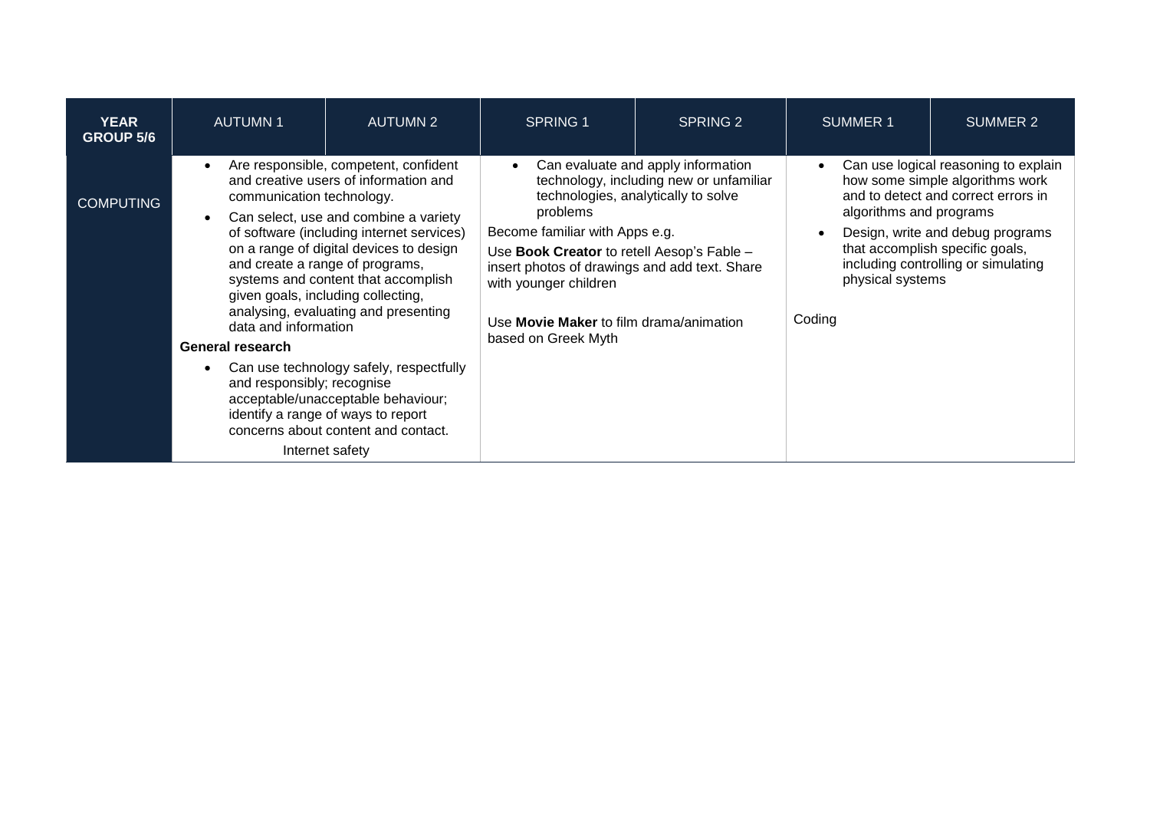| <b>YEAR</b><br><b>GROUP 5/6</b> | <b>AUTUMN1</b>                                                                                                                                                                                                                                                                                                                                                                                                                                                | <b>AUTUMN 2</b>                                                                                                                                            | <b>SPRING 1</b>                                                                                                                                                                                                                                                                                                                                                           | SPRING 2 | <b>SUMMER 1</b>                                       | <b>SUMMER 2</b>                                                                                                                                                                                                              |
|---------------------------------|---------------------------------------------------------------------------------------------------------------------------------------------------------------------------------------------------------------------------------------------------------------------------------------------------------------------------------------------------------------------------------------------------------------------------------------------------------------|------------------------------------------------------------------------------------------------------------------------------------------------------------|---------------------------------------------------------------------------------------------------------------------------------------------------------------------------------------------------------------------------------------------------------------------------------------------------------------------------------------------------------------------------|----------|-------------------------------------------------------|------------------------------------------------------------------------------------------------------------------------------------------------------------------------------------------------------------------------------|
| <b>COMPUTING</b>                | Are responsible, competent, confident<br>$\bullet$<br>and creative users of information and<br>communication technology.<br>Can select, use and combine a variety<br>of software (including internet services)<br>on a range of digital devices to design<br>and create a range of programs,<br>systems and content that accomplish<br>given goals, including collecting,<br>analysing, evaluating and presenting<br>data and information<br>General research |                                                                                                                                                            | Can evaluate and apply information<br>$\bullet$<br>technology, including new or unfamiliar<br>technologies, analytically to solve<br>problems<br>Become familiar with Apps e.g.<br>Use Book Creator to retell Aesop's Fable -<br>insert photos of drawings and add text. Share<br>with younger children<br>Use Movie Maker to film drama/animation<br>based on Greek Myth |          | algorithms and programs<br>physical systems<br>Coding | Can use logical reasoning to explain<br>how some simple algorithms work<br>and to detect and correct errors in<br>Design, write and debug programs<br>that accomplish specific goals,<br>including controlling or simulating |
|                                 | and responsibly; recognise<br>Internet safety                                                                                                                                                                                                                                                                                                                                                                                                                 | Can use technology safely, respectfully<br>acceptable/unacceptable behaviour;<br>identify a range of ways to report<br>concerns about content and contact. |                                                                                                                                                                                                                                                                                                                                                                           |          |                                                       |                                                                                                                                                                                                                              |